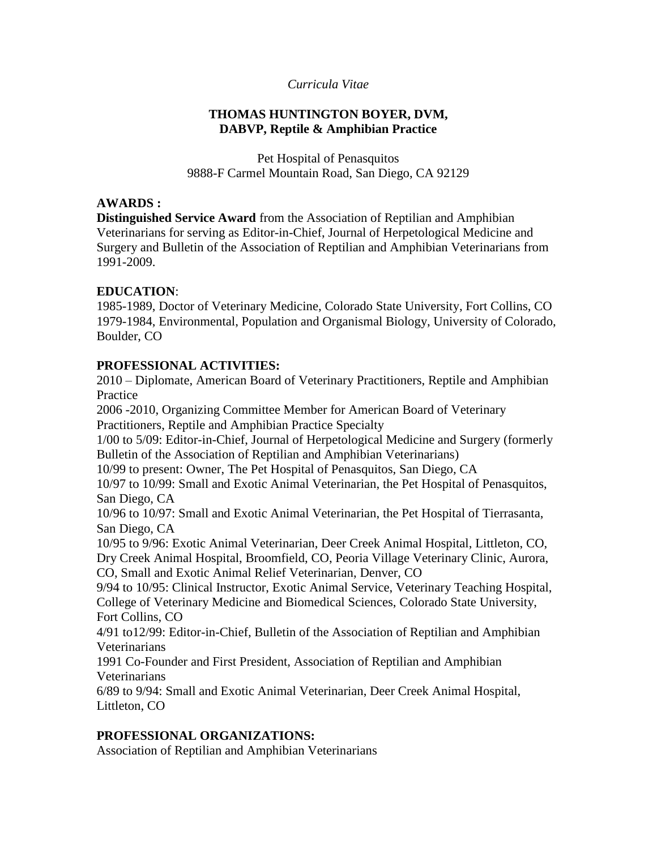## *Curricula Vitae*

#### **THOMAS HUNTINGTON BOYER, DVM, DABVP, Reptile & Amphibian Practice**

Pet Hospital of Penasquitos 9888-F Carmel Mountain Road, San Diego, CA 92129

#### **AWARDS :**

**Distinguished Service Award** from the Association of Reptilian and Amphibian Veterinarians for serving as Editor-in-Chief, Journal of Herpetological Medicine and Surgery and Bulletin of the Association of Reptilian and Amphibian Veterinarians from 1991-2009.

## **EDUCATION**:

1985-1989, Doctor of Veterinary Medicine, Colorado State University, Fort Collins, CO 1979-1984, Environmental, Population and Organismal Biology, University of Colorado, Boulder, CO

## **PROFESSIONAL ACTIVITIES:**

2010 – Diplomate, American Board of Veterinary Practitioners, Reptile and Amphibian Practice

2006 -2010, Organizing Committee Member for American Board of Veterinary Practitioners, Reptile and Amphibian Practice Specialty

1/00 to 5/09: Editor-in-Chief, Journal of Herpetological Medicine and Surgery (formerly Bulletin of the Association of Reptilian and Amphibian Veterinarians)

10/99 to present: Owner, The Pet Hospital of Penasquitos, San Diego, CA

10/97 to 10/99: Small and Exotic Animal Veterinarian, the Pet Hospital of Penasquitos, San Diego, CA

10/96 to 10/97: Small and Exotic Animal Veterinarian, the Pet Hospital of Tierrasanta, San Diego, CA

10/95 to 9/96: Exotic Animal Veterinarian, Deer Creek Animal Hospital, Littleton, CO, Dry Creek Animal Hospital, Broomfield, CO, Peoria Village Veterinary Clinic, Aurora,

CO, Small and Exotic Animal Relief Veterinarian, Denver, CO

9/94 to 10/95: Clinical Instructor, Exotic Animal Service, Veterinary Teaching Hospital, College of Veterinary Medicine and Biomedical Sciences, Colorado State University, Fort Collins, CO

4/91 to12/99: Editor-in-Chief, Bulletin of the Association of Reptilian and Amphibian Veterinarians

1991 Co-Founder and First President, Association of Reptilian and Amphibian Veterinarians

6/89 to 9/94: Small and Exotic Animal Veterinarian, Deer Creek Animal Hospital, Littleton, CO

# **PROFESSIONAL ORGANIZATIONS:**

Association of Reptilian and Amphibian Veterinarians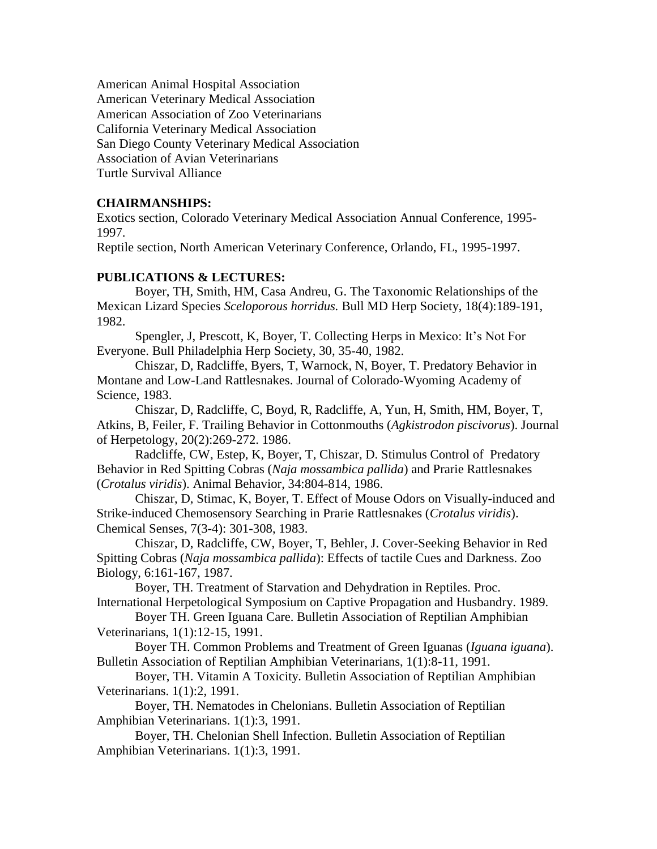American Animal Hospital Association American Veterinary Medical Association American Association of Zoo Veterinarians California Veterinary Medical Association San Diego County Veterinary Medical Association Association of Avian Veterinarians Turtle Survival Alliance

## **CHAIRMANSHIPS:**

Exotics section, Colorado Veterinary Medical Association Annual Conference, 1995- 1997.

Reptile section, North American Veterinary Conference, Orlando, FL, 1995-1997.

## **PUBLICATIONS & LECTURES:**

Boyer, TH, Smith, HM, Casa Andreu, G. The Taxonomic Relationships of the Mexican Lizard Species *Sceloporous horridus.* Bull MD Herp Society, 18(4):189-191, 1982.

Spengler, J, Prescott, K, Boyer, T. Collecting Herps in Mexico: It's Not For Everyone. Bull Philadelphia Herp Society, 30, 35-40, 1982.

Chiszar, D, Radcliffe, Byers, T, Warnock, N, Boyer, T. Predatory Behavior in Montane and Low-Land Rattlesnakes. Journal of Colorado-Wyoming Academy of Science, 1983.

Chiszar, D, Radcliffe, C, Boyd, R, Radcliffe, A, Yun, H, Smith, HM, Boyer, T, Atkins, B, Feiler, F. Trailing Behavior in Cottonmouths (*Agkistrodon piscivorus*). Journal of Herpetology, 20(2):269-272. 1986.

Radcliffe, CW, Estep, K, Boyer, T, Chiszar, D. Stimulus Control of Predatory Behavior in Red Spitting Cobras (*Naja mossambica pallida*) and Prarie Rattlesnakes (*Crotalus viridis*). Animal Behavior, 34:804-814, 1986.

Chiszar, D, Stimac, K, Boyer, T. Effect of Mouse Odors on Visually-induced and Strike-induced Chemosensory Searching in Prarie Rattlesnakes (*Crotalus viridis*). Chemical Senses, 7(3-4): 301-308, 1983.

Chiszar, D, Radcliffe, CW, Boyer, T, Behler, J. Cover-Seeking Behavior in Red Spitting Cobras (*Naja mossambica pallida*): Effects of tactile Cues and Darkness. Zoo Biology, 6:161-167, 1987.

Boyer, TH. Treatment of Starvation and Dehydration in Reptiles. Proc. International Herpetological Symposium on Captive Propagation and Husbandry. 1989.

Boyer TH. Green Iguana Care. Bulletin Association of Reptilian Amphibian Veterinarians, 1(1):12-15, 1991.

Boyer TH. Common Problems and Treatment of Green Iguanas (*Iguana iguana*). Bulletin Association of Reptilian Amphibian Veterinarians, 1(1):8-11, 1991.

Boyer, TH. Vitamin A Toxicity. Bulletin Association of Reptilian Amphibian Veterinarians. 1(1):2, 1991.

Boyer, TH. Nematodes in Chelonians. Bulletin Association of Reptilian Amphibian Veterinarians. 1(1):3, 1991.

Boyer, TH. Chelonian Shell Infection. Bulletin Association of Reptilian Amphibian Veterinarians. 1(1):3, 1991.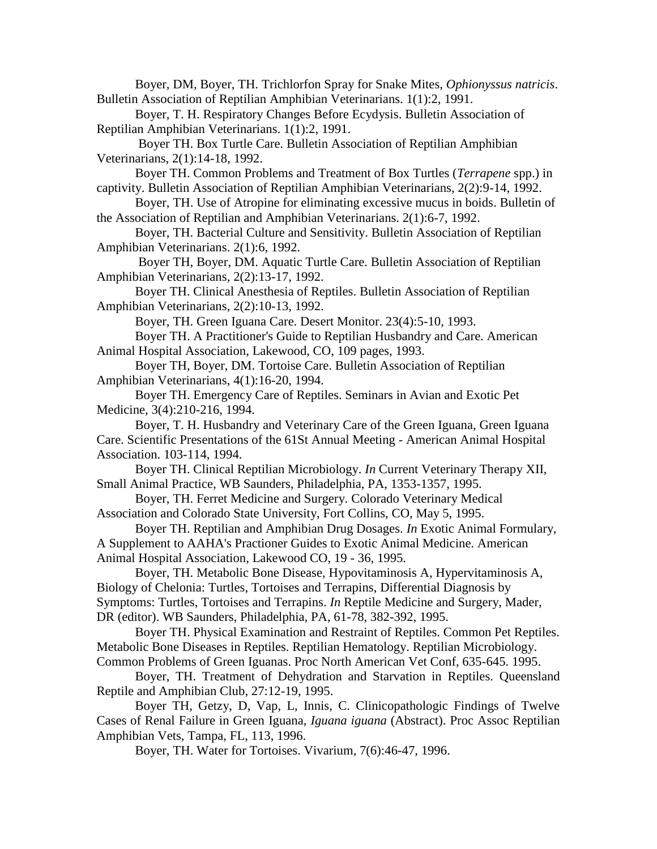Boyer, DM, Boyer, TH. Trichlorfon Spray for Snake Mites, *Ophionyssus natricis*. Bulletin Association of Reptilian Amphibian Veterinarians. 1(1):2, 1991.

Boyer, T. H. Respiratory Changes Before Ecydysis. Bulletin Association of Reptilian Amphibian Veterinarians. 1(1):2, 1991.

Boyer TH. Box Turtle Care. Bulletin Association of Reptilian Amphibian Veterinarians, 2(1):14-18, 1992.

Boyer TH. Common Problems and Treatment of Box Turtles (*Terrapene* spp.) in captivity. Bulletin Association of Reptilian Amphibian Veterinarians, 2(2):9-14, 1992.

Boyer, TH. Use of Atropine for eliminating excessive mucus in boids. Bulletin of the Association of Reptilian and Amphibian Veterinarians. 2(1):6-7, 1992.

Boyer, TH. Bacterial Culture and Sensitivity. Bulletin Association of Reptilian Amphibian Veterinarians. 2(1):6, 1992.

Boyer TH, Boyer, DM. Aquatic Turtle Care. Bulletin Association of Reptilian Amphibian Veterinarians, 2(2):13-17, 1992.

Boyer TH. Clinical Anesthesia of Reptiles. Bulletin Association of Reptilian Amphibian Veterinarians, 2(2):10-13, 1992.

Boyer, TH. Green Iguana Care. Desert Monitor. 23(4):5-10, 1993.

Boyer TH. A Practitioner's Guide to Reptilian Husbandry and Care. American Animal Hospital Association, Lakewood, CO, 109 pages, 1993.

Boyer TH, Boyer, DM. Tortoise Care. Bulletin Association of Reptilian Amphibian Veterinarians, 4(1):16-20, 1994.

Boyer TH. Emergency Care of Reptiles. Seminars in Avian and Exotic Pet Medicine, 3(4):210-216, 1994.

Boyer, T. H. Husbandry and Veterinary Care of the Green Iguana, Green Iguana Care. Scientific Presentations of the 61St Annual Meeting - American Animal Hospital Association. 103-114, 1994.

Boyer TH. Clinical Reptilian Microbiology. *In* Current Veterinary Therapy XII, Small Animal Practice, WB Saunders, Philadelphia, PA, 1353-1357, 1995.

Boyer, TH. Ferret Medicine and Surgery. Colorado Veterinary Medical Association and Colorado State University, Fort Collins, CO, May 5, 1995.

Boyer TH. Reptilian and Amphibian Drug Dosages. *In* Exotic Animal Formulary, A Supplement to AAHA's Practioner Guides to Exotic Animal Medicine. American Animal Hospital Association, Lakewood CO, 19 - 36, 1995.

Boyer, TH. Metabolic Bone Disease, Hypovitaminosis A, Hypervitaminosis A, Biology of Chelonia: Turtles, Tortoises and Terrapins, Differential Diagnosis by Symptoms: Turtles, Tortoises and Terrapins. *In* Reptile Medicine and Surgery, Mader, DR (editor). WB Saunders, Philadelphia, PA, 61-78, 382-392, 1995.

Boyer TH. Physical Examination and Restraint of Reptiles. Common Pet Reptiles. Metabolic Bone Diseases in Reptiles. Reptilian Hematology. Reptilian Microbiology. Common Problems of Green Iguanas. Proc North American Vet Conf, 635-645. 1995.

Boyer, TH. Treatment of Dehydration and Starvation in Reptiles. Queensland Reptile and Amphibian Club, 27:12-19, 1995.

Boyer TH, Getzy, D, Vap, L, Innis, C. Clinicopathologic Findings of Twelve Cases of Renal Failure in Green Iguana, *Iguana iguana* (Abstract). Proc Assoc Reptilian Amphibian Vets, Tampa, FL, 113, 1996.

Boyer, TH. Water for Tortoises. Vivarium, 7(6):46-47, 1996.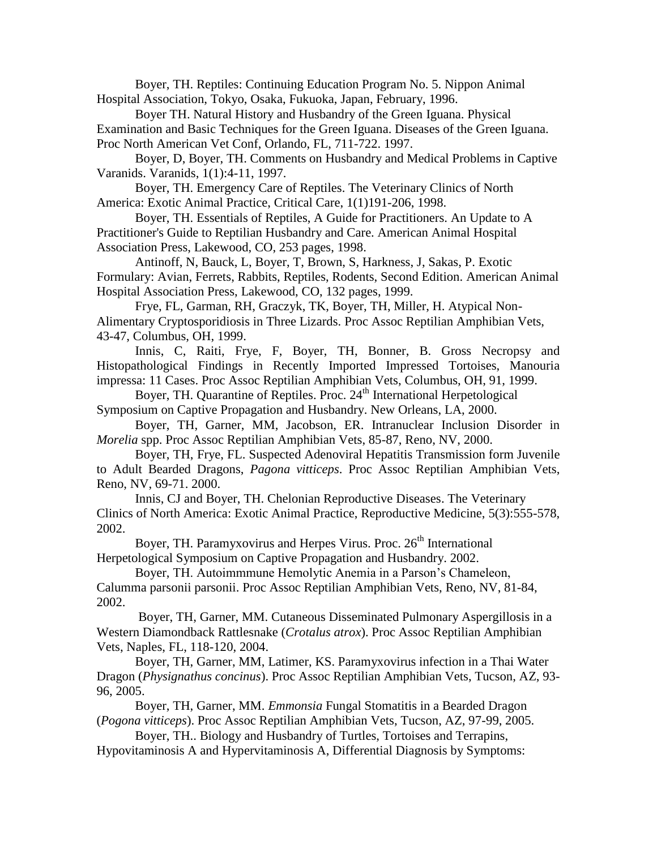Boyer, TH. Reptiles: Continuing Education Program No. 5. Nippon Animal Hospital Association, Tokyo, Osaka, Fukuoka, Japan, February, 1996.

Boyer TH. Natural History and Husbandry of the Green Iguana. Physical Examination and Basic Techniques for the Green Iguana. Diseases of the Green Iguana. Proc North American Vet Conf, Orlando, FL, 711-722. 1997.

Boyer, D, Boyer, TH. Comments on Husbandry and Medical Problems in Captive Varanids. Varanids, 1(1):4-11, 1997.

Boyer, TH. Emergency Care of Reptiles. The Veterinary Clinics of North America: Exotic Animal Practice, Critical Care, 1(1)191-206, 1998.

Boyer, TH. Essentials of Reptiles, A Guide for Practitioners. An Update to A Practitioner's Guide to Reptilian Husbandry and Care. American Animal Hospital Association Press, Lakewood, CO, 253 pages, 1998.

Antinoff, N, Bauck, L, Boyer, T, Brown, S, Harkness, J, Sakas, P. Exotic Formulary: Avian, Ferrets, Rabbits, Reptiles, Rodents, Second Edition. American Animal Hospital Association Press, Lakewood, CO, 132 pages, 1999.

Frye, FL, Garman, RH, Graczyk, TK, Boyer, TH, Miller, H. Atypical Non-Alimentary Cryptosporidiosis in Three Lizards. Proc Assoc Reptilian Amphibian Vets, 43-47, Columbus, OH, 1999.

Innis, C, Raiti, Frye, F, Boyer, TH, Bonner, B. Gross Necropsy and Histopathological Findings in Recently Imported Impressed Tortoises, Manouria impressa: 11 Cases. Proc Assoc Reptilian Amphibian Vets, Columbus, OH, 91, 1999.

Boyer, TH. Quarantine of Reptiles. Proc. 24<sup>th</sup> International Herpetological Symposium on Captive Propagation and Husbandry. New Orleans, LA, 2000.

Boyer, TH, Garner, MM, Jacobson, ER. Intranuclear Inclusion Disorder in *Morelia* spp. Proc Assoc Reptilian Amphibian Vets, 85-87, Reno, NV, 2000.

Boyer, TH, Frye, FL. Suspected Adenoviral Hepatitis Transmission form Juvenile to Adult Bearded Dragons, *Pagona vitticeps*. Proc Assoc Reptilian Amphibian Vets, Reno, NV, 69-71. 2000.

Innis, CJ and Boyer, TH. Chelonian Reproductive Diseases. The Veterinary Clinics of North America: Exotic Animal Practice, Reproductive Medicine, 5(3):555-578, 2002.

Boyer, TH. Paramyxovirus and Herpes Virus. Proc.  $26<sup>th</sup>$  International Herpetological Symposium on Captive Propagation and Husbandry. 2002.

Boyer, TH. Autoimmmune Hemolytic Anemia in a Parson's Chameleon, Calumma parsonii parsonii. Proc Assoc Reptilian Amphibian Vets, Reno, NV, 81-84, 2002.

Boyer, TH, Garner, MM. Cutaneous Disseminated Pulmonary Aspergillosis in a Western Diamondback Rattlesnake (*Crotalus atrox*). Proc Assoc Reptilian Amphibian Vets, Naples, FL, 118-120, 2004.

Boyer, TH, Garner, MM, Latimer, KS. Paramyxovirus infection in a Thai Water Dragon (*Physignathus concinus*). Proc Assoc Reptilian Amphibian Vets, Tucson, AZ, 93- 96, 2005.

Boyer, TH, Garner, MM. *Emmonsia* Fungal Stomatitis in a Bearded Dragon (*Pogona vitticeps*). Proc Assoc Reptilian Amphibian Vets, Tucson, AZ, 97-99, 2005.

Boyer, TH.. Biology and Husbandry of Turtles, Tortoises and Terrapins, Hypovitaminosis A and Hypervitaminosis A, Differential Diagnosis by Symptoms: